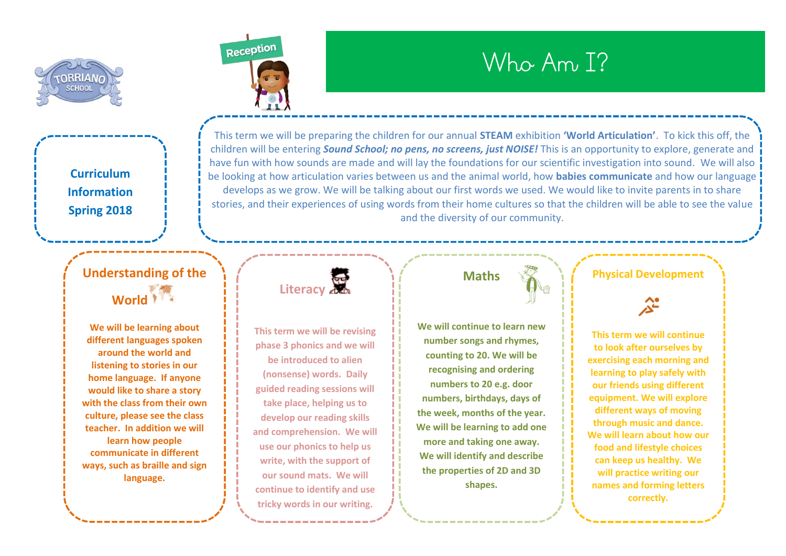

**Curriculum Information Spring 2018**



**We will be learning about different languages spoken around the world and listening to stories in our home language. If anyone would like to share a story with the class from their own culture, please see the class teacher. In addition we will learn how people communicate in different ways, such as braille and sign language.**



# Who Am I?

This term we will be preparing the children for our annual **STEAM** exhibition **'World Articulation'**. To kick this off, the children will be entering *Sound School; no pens, no screens, just NOISE!* This is an opportunity to explore, generate and have fun with how sounds are made and will lay the foundations for our scientific investigation into sound. We will also be looking at how articulation varies between us and the animal world, how **babies communicate** and how our language develops as we grow. We will be talking about our first words we used. We would like to invite parents in to share stories, and their experiences of using words from their home cultures so that the children will be able to see the value and the diversity of our community.



**This term we will be revising phase 3 phonics and we will be introduced to alien (nonsense) words. Daily guided reading sessions will take place, helping us to develop our reading skills and comprehension. We will use our phonics to help us write, with the support of our sound mats. We will continue to identify and use tricky words in our writing.**

# **Maths**

**We will continue to learn new number songs and rhymes, counting to 20. We will be recognising and ordering numbers to 20 e.g. door numbers, birthdays, days of the week, months of the year. We will be learning to add one more and taking one away. We will identify and describe the properties of 2D and 3D shapes.**

### **Physical Development**

**This term we will continue to look after ourselves by exercising each morning and learning to play safely with our friends using different equipment. We will explore different ways of moving through music and dance. We will learn about how our food and lifestyle choices can keep us healthy. We will practice writing our names and forming letters correctly.**